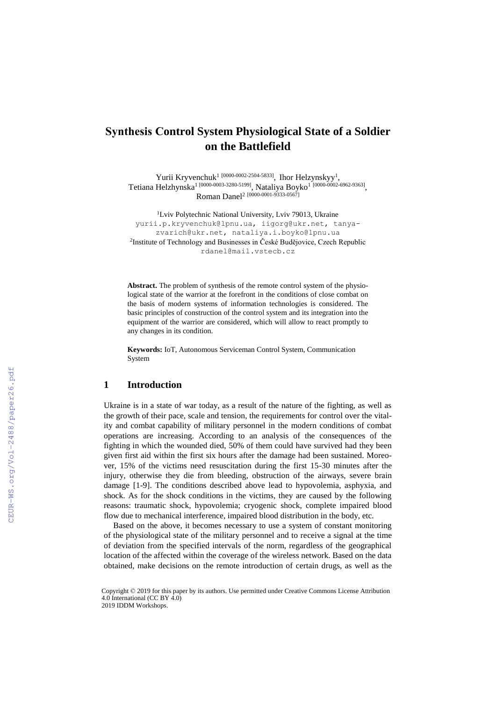# **Synthesis Сontrol System Physiological State of a Soldier on the Battlefield**

Yurii Kryvenchuk<sup>1 [\[0000-0002-2504-5833\]](https://www.scopus.com/redirect.uri?url=http://www.orcid.org/0000-0002-2504-5833&authorId=57198358655&origin=AuthorProfile&orcId=0000-0002-2504-5833&category=orcidLink)</sup>, Ihor Helzynskyy<sup>1</sup>, Tetiana Helzhynska<sup>1 [\[0000-0003-3280-5](https://orcid.org/0000-0002-6962-9363)199]</sup>, Nataliya Boyko<sup>1 [\[0000-0002-6962-9363\]](https://orcid.org/0000-0002-6962-9363)</sup>, Roman Danel<sup>2</sup> [0000-0001-9333-0567]

<sup>1</sup>Lviv Polytechnic National University, Lviv 79013, Ukraine yurii.p.kryvenchuk@lpnu.ua, iigorg@ukr.net, [tanya](mailto:tanya-zvarich@ukr.net)[zvarich@ukr.net,](mailto:tanya-zvarich@ukr.net) [nataliya.i.boyko@lpnu.ua](mailto:nataliya.i.boyko@lpnu.ua) 2 Institute of Technology and Businesses in České Budějovice, Czech Republic [rdanel@mail.vstecb.cz](mailto:rdanel@mail.vstecb.cz)

**Abstract.** The problem of synthesis of the remote control system of the physiological state of the warrior at the forefront in the conditions of close combat on the basis of modern systems of information technologies is considered. The basic principles of construction of the control system and its integration into the equipment of the warrior are considered, which will allow to react promptly to any changes in its condition.

**Keywords:** IoT, Autonomous Serviceman Control System, Communication System

#### **1 Introduction**

Ukraine is in a state of war today, as a result of the nature of the fighting, as well as the growth of their pace, scale and tension, the requirements for control over the vitality and combat capability of military personnel in the modern conditions of combat operations are increasing. According to an analysis of the consequences of the fighting in which the wounded died, 50% of them could have survived had they been given first aid within the first six hours after the damage had been sustained. Moreover, 15% of the victims need resuscitation during the first 15-30 minutes after the injury, otherwise they die from bleeding, obstruction of the airways, severe brain damage [1-9]. The conditions described above lead to hypovolemia, asphyxia, and shock. As for the shock conditions in the victims, they are caused by the following reasons: traumatic shock, hypovolemia; cryogenic shock, complete impaired blood flow due to mechanical interference, impaired blood distribution in the body, etc.

Based on the above, it becomes necessary to use a system of constant monitoring of the physiological state of the military personnel and to receive a signal at the time of deviation from the specified intervals of the norm, regardless of the geographical location of the affected within the coverage of the wireless network. Based on the data obtained, make decisions on the remote introduction of certain drugs, as well as the

Copyright © 2019 for this paper by its authors. Use permitted under Creative Commons License Attribution 4.0 International (CC BY 4.0) 2019 IDDM Workshops.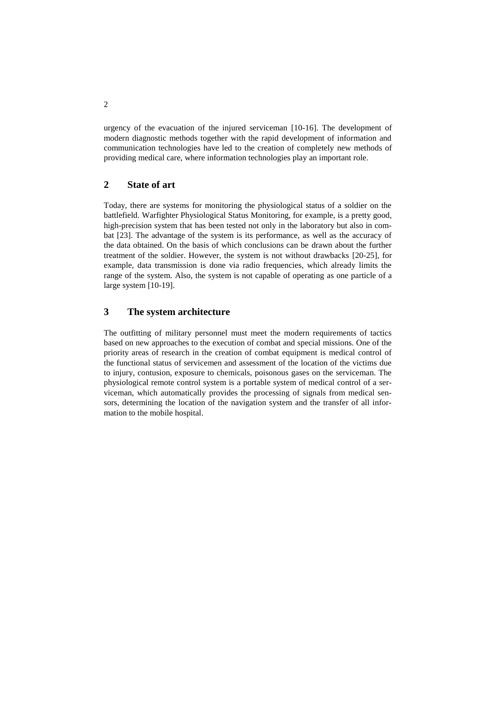urgency of the evacuation of the injured serviceman [10-16]. The development of modern diagnostic methods together with the rapid development of information and communication technologies have led to the creation of completely new methods of providing medical care, where information technologies play an important role.

## **2 State of art**

Today, there are systems for monitoring the physiological status of a soldier on the battlefield. Warfighter Physiological Status Monitoring, for example, is a pretty good, high-precision system that has been tested not only in the laboratory but also in combat [23]. The advantage of the system is its performance, as well as the accuracy of the data obtained. On the basis of which conclusions can be drawn about the further treatment of the soldier. However, the system is not without drawbacks [20-25], for example, data transmission is done via radio frequencies, which already limits the range of the system. Also, the system is not capable of operating as one particle of a large system [10-19].

## **3 The system architecture**

The outfitting of military personnel must meet the modern requirements of tactics based on new approaches to the execution of combat and special missions. One of the priority areas of research in the creation of combat equipment is medical control of the functional status of servicemen and assessment of the location of the victims due to injury, contusion, exposure to chemicals, poisonous gases on the serviceman. The physiological remote control system is a portable system of medical control of a serviceman, which automatically provides the processing of signals from medical sensors, determining the location of the navigation system and the transfer of all information to the mobile hospital.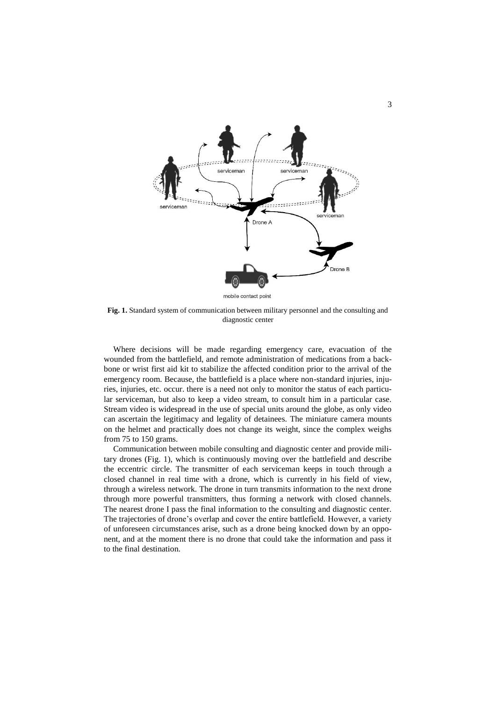

**Fig. 1.** Standard system of communication between military personnel and the consulting and diagnostic center

Where decisions will be made regarding emergency care, evacuation of the wounded from the battlefield, and remote administration of medications from a backbone or wrist first aid kit to stabilize the affected condition prior to the arrival of the emergency room. Because, the battlefield is a place where non-standard injuries, injuries, injuries, etc. occur. there is a need not only to monitor the status of each particular serviceman, but also to keep a video stream, to consult him in a particular case. Stream video is widespread in the use of special units around the globe, as only video can ascertain the legitimacy and legality of detainees. The miniature camera mounts on the helmet and practically does not change its weight, since the complex weighs from 75 to 150 grams.

Communication between mobile consulting and diagnostic center and provide military drones (Fig. 1), which is continuously moving over the battlefield and describe the eccentric circle. The transmitter of each serviceman keeps in touch through a closed channel in real time with a drone, which is currently in his field of view, through a wireless network. The drone in turn transmits information to the next drone through more powerful transmitters, thus forming a network with closed channels. The nearest drone I pass the final information to the consulting and diagnostic center. The trajectories of drone's overlap and cover the entire battlefield. However, a variety of unforeseen circumstances arise, such as a drone being knocked down by an opponent, and at the moment there is no drone that could take the information and pass it to the final destination.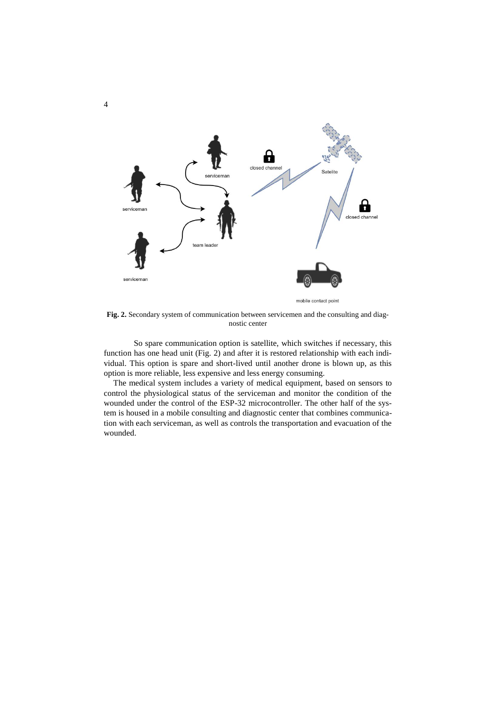

**Fig. 2.** Secondary system of communication between servicemen and the consulting and diagnostic center

So spare communication option is satellite, which switches if necessary, this function has one head unit (Fig. 2) and after it is restored relationship with each individual. This option is spare and short-lived until another drone is blown up, as this option is more reliable, less expensive and less energy consuming.

The medical system includes a variety of medical equipment, based on sensors to control the physiological status of the serviceman and monitor the condition of the wounded under the control of the ESP-32 microcontroller. The other half of the system is housed in a mobile consulting and diagnostic center that combines communication with each serviceman, as well as controls the transportation and evacuation of the wounded.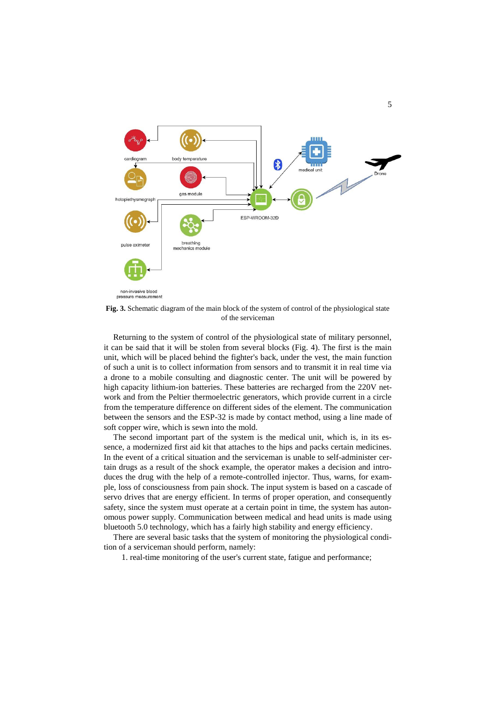

**Fig. 3.** Schematic diagram of the main block of the system of control of the physiological state of the serviceman

Returning to the system of control of the physiological state of military personnel, it can be said that it will be stolen from several blocks (Fig. 4). The first is the main unit, which will be placed behind the fighter's back, under the vest, the main function of such a unit is to collect information from sensors and to transmit it in real time via a drone to a mobile consulting and diagnostic center. The unit will be powered by high capacity lithium-ion batteries. These batteries are recharged from the 220V network and from the Peltier thermoelectric generators, which provide current in a circle from the temperature difference on different sides of the element. The communication between the sensors and the ESP-32 is made by contact method, using a line made of soft copper wire, which is sewn into the mold.

The second important part of the system is the medical unit, which is, in its essence, a modernized first aid kit that attaches to the hips and packs certain medicines. In the event of a critical situation and the serviceman is unable to self-administer certain drugs as a result of the shock example, the operator makes a decision and introduces the drug with the help of a remote-controlled injector. Thus, warns, for example, loss of consciousness from pain shock. The input system is based on a cascade of servo drives that are energy efficient. In terms of proper operation, and consequently safety, since the system must operate at a certain point in time, the system has autonomous power supply. Communication between medical and head units is made using bluetooth 5.0 technology, which has a fairly high stability and energy efficiency.

There are several basic tasks that the system of monitoring the physiological condition of a serviceman should perform, namely:

1. real-time monitoring of the user's current state, fatigue and performance;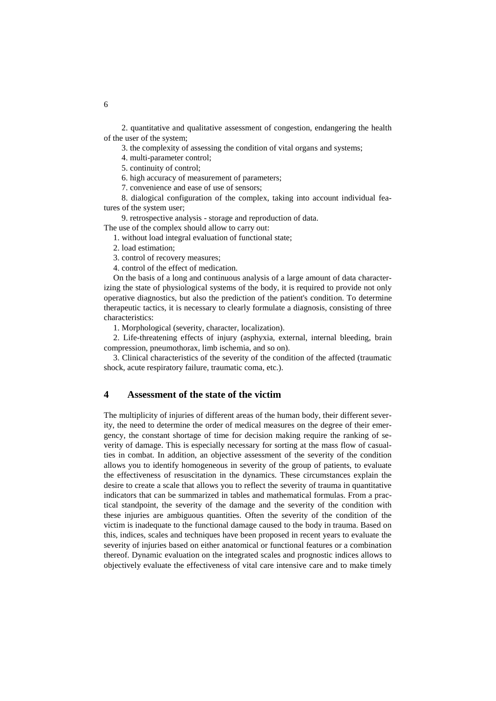2. quantitative and qualitative assessment of congestion, endangering the health of the user of the system;

3. the complexity of assessing the condition of vital organs and systems;

4. multi-parameter control;

5. continuity of control;

6. high accuracy of measurement of parameters;

7. convenience and ease of use of sensors;

8. dialogical configuration of the complex, taking into account individual features of the system user;

9. retrospective analysis - storage and reproduction of data.

The use of the complex should allow to carry out:

1. without load integral evaluation of functional state;

2. load estimation;

3. control of recovery measures;

4. control of the effect of medication.

On the basis of a long and continuous analysis of a large amount of data characterizing the state of physiological systems of the body, it is required to provide not only operative diagnostics, but also the prediction of the patient's condition. To determine therapeutic tactics, it is necessary to clearly formulate a diagnosis, consisting of three characteristics:

1. Morphological (severity, character, localization).

2. Life-threatening effects of injury (asphyxia, external, internal bleeding, brain compression, pneumothorax, limb ischemia, and so on).

3. Clinical characteristics of the severity of the condition of the affected (traumatic shock, acute respiratory failure, traumatic coma, etc.).

## **4 Assessment of the state of the victim**

The multiplicity of injuries of different areas of the human body, their different severity, the need to determine the order of medical measures on the degree of their emergency, the constant shortage of time for decision making require the ranking of severity of damage. This is especially necessary for sorting at the mass flow of casualties in combat. In addition, an objective assessment of the severity of the condition allows you to identify homogeneous in severity of the group of patients, to evaluate the effectiveness of resuscitation in the dynamics. These circumstances explain the desire to create a scale that allows you to reflect the severity of trauma in quantitative indicators that can be summarized in tables and mathematical formulas. From a practical standpoint, the severity of the damage and the severity of the condition with these injuries are ambiguous quantities. Often the severity of the condition of the victim is inadequate to the functional damage caused to the body in trauma. Based on this, indices, scales and techniques have been proposed in recent years to evaluate the severity of injuries based on either anatomical or functional features or a combination thereof. Dynamic evaluation on the integrated scales and prognostic indices allows to objectively evaluate the effectiveness of vital care intensive care and to make timely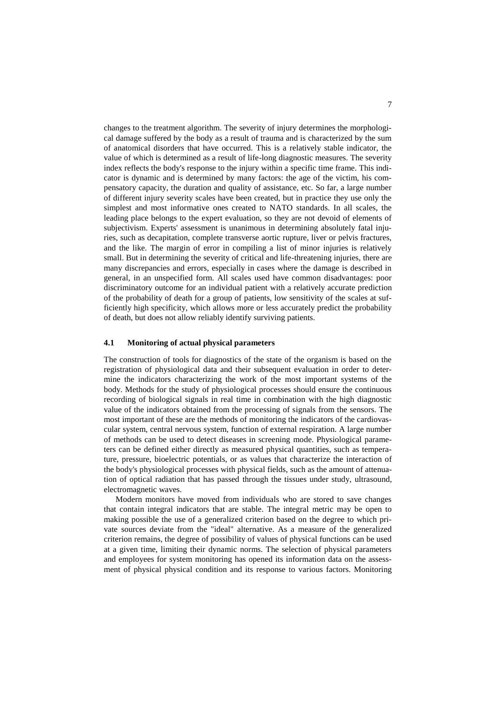changes to the treatment algorithm. The severity of injury determines the morphological damage suffered by the body as a result of trauma and is characterized by the sum of anatomical disorders that have occurred. This is a relatively stable indicator, the value of which is determined as a result of life-long diagnostic measures. The severity index reflects the body's response to the injury within a specific time frame. This indicator is dynamic and is determined by many factors: the age of the victim, his compensatory capacity, the duration and quality of assistance, etc. So far, a large number of different injury severity scales have been created, but in practice they use only the simplest and most informative ones created to NATO standards. In all scales, the leading place belongs to the expert evaluation, so they are not devoid of elements of subjectivism. Experts' assessment is unanimous in determining absolutely fatal injuries, such as decapitation, complete transverse aortic rupture, liver or pelvis fractures, and the like. The margin of error in compiling a list of minor injuries is relatively small. But in determining the severity of critical and life-threatening injuries, there are many discrepancies and errors, especially in cases where the damage is described in general, in an unspecified form. All scales used have common disadvantages: poor discriminatory outcome for an individual patient with a relatively accurate prediction of the probability of death for a group of patients, low sensitivity of the scales at sufficiently high specificity, which allows more or less accurately predict the probability of death, but does not allow reliably identify surviving patients.

#### **4.1 Monitoring of actual physical parameters**

The construction of tools for diagnostics of the state of the organism is based on the registration of physiological data and their subsequent evaluation in order to determine the indicators characterizing the work of the most important systems of the body. Methods for the study of physiological processes should ensure the continuous recording of biological signals in real time in combination with the high diagnostic value of the indicators obtained from the processing of signals from the sensors. The most important of these are the methods of monitoring the indicators of the cardiovascular system, central nervous system, function of external respiration. A large number of methods can be used to detect diseases in screening mode. Physiological parameters can be defined either directly as measured physical quantities, such as temperature, pressure, bioelectric potentials, or as values that characterize the interaction of the body's physiological processes with physical fields, such as the amount of attenuation of optical radiation that has passed through the tissues under study, ultrasound, electromagnetic waves.

Modern monitors have moved from individuals who are stored to save changes that contain integral indicators that are stable. The integral metric may be open to making possible the use of a generalized criterion based on the degree to which private sources deviate from the "ideal" alternative. As a measure of the generalized criterion remains, the degree of possibility of values of physical functions can be used at a given time, limiting their dynamic norms. The selection of physical parameters and employees for system monitoring has opened its information data on the assessment of physical physical condition and its response to various factors. Monitoring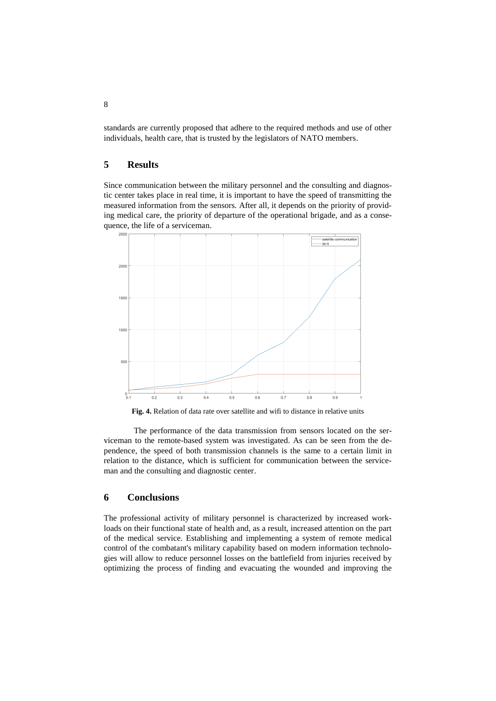standards are currently proposed that adhere to the required methods and use of other individuals, health care, that is trusted by the legislators of NATO members.

#### **5 Results**

Since communication between the military personnel and the consulting and diagnostic center takes place in real time, it is important to have the speed of transmitting the measured information from the sensors. After all, it depends on the priority of providing medical care, the priority of departure of the operational brigade, and as a consequence, the life of a serviceman.



**Fig. 4.** Relation of data rate over satellite and wifi to distance in relative units

The performance of the data transmission from sensors located on the serviceman to the remote-based system was investigated. As can be seen from the dependence, the speed of both transmission channels is the same to a certain limit in relation to the distance, which is sufficient for communication between the serviceman and the consulting and diagnostic center.

### **6 Conclusions**

The professional activity of military personnel is characterized by increased workloads on their functional state of health and, as a result, increased attention on the part of the medical service. Establishing and implementing a system of remote medical control of the combatant's military capability based on modern information technologies will allow to reduce personnel losses on the battlefield from injuries received by optimizing the process of finding and evacuating the wounded and improving the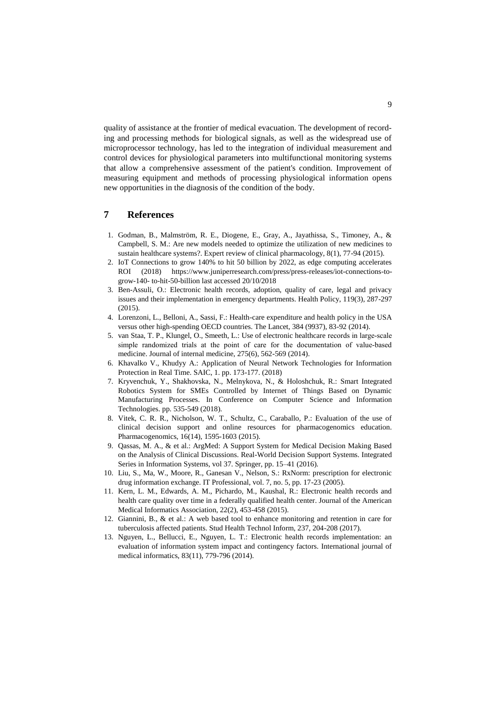quality of assistance at the frontier of medical evacuation. The development of recording and processing methods for biological signals, as well as the widespread use of microprocessor technology, has led to the integration of individual measurement and control devices for physiological parameters into multifunctional monitoring systems that allow a comprehensive assessment of the patient's condition. Improvement of measuring equipment and methods of processing physiological information opens new opportunities in the diagnosis of the condition of the body.

## **7 References**

- 1. Godman, B., Malmström, R. E., Diogene, E., Gray, A., Jayathissa, S., Timoney, A., & Campbell, S. M.: Are new models needed to optimize the utilization of new medicines to sustain healthcare systems?. Expert review of clinical pharmacology, 8(1), 77-94 (2015).
- 2. IoT Connections to grow 140% to hit 50 billion by 2022, as edge computing accelerates ROI (2018) https://www.juniperresearch.com/press/press-releases/iot-connections-togrow-140- to-hit-50-billion last accessed 20/10/2018
- 3. Ben-Assuli, O.: Electronic health records, adoption, quality of care, legal and privacy issues and their implementation in emergency departments. Health Policy, 119(3), 287-297  $(2015)$
- 4. Lorenzoni, L., Belloni, A., Sassi, F.: Health-care expenditure and health policy in the USA versus other high-spending OECD countries. The Lancet, 384 (9937), 83-92 (2014).
- 5. van Staa, T. P., Klungel, O., Smeeth, L.: Use of electronic healthcare records in large‐scale simple randomized trials at the point of care for the documentation of value-based medicine. Journal of internal medicine, 275(6), 562-569 (2014).
- 6. Khavalko V., Khudyy A.: Application of Neural Network Technologies for Information Protection in Real Time. SAIC, 1. pp. 173-177. (2018)
- 7. Kryvenchuk, Y., Shakhovska, N., Melnykova, N., & Holoshchuk, R.: Smart Integrated Robotics System for SMEs Controlled by Internet of Things Based on Dynamic Manufacturing Processes. In Conference on Computer Science and Information Technologies. pp. 535-549 (2018).
- 8. Vitek, C. R. R., Nicholson, W. T., Schultz, C., Caraballo, P.: Evaluation of the use of clinical decision support and online resources for pharmacogenomics education. Pharmacogenomics, 16(14), 1595-1603 (2015).
- 9. Qassas, M. A., & et al.: ArgMed: A Support System for Medical Decision Making Based on the Analysis of Clinical Discussions. Real-World Decision Support Systems. Integrated Series in Information Systems, vol 37. Springer, pp. 15–41 (2016).
- 10. Liu, S., Ma, W., Moore, R., Ganesan V., Nelson, S.: RxNorm: prescription for electronic drug information exchange. IT Professional, vol. 7, no. 5, pp. 17-23 (2005).
- 11. Kern, L. M., Edwards, A. M., Pichardo, M., Kaushal, R.: Electronic health records and health care quality over time in a federally qualified health center. Journal of the American Medical Informatics Association, 22(2), 453-458 (2015).
- 12. Giannini, B., & et al.: A web based tool to enhance monitoring and retention in care for tuberculosis affected patients. Stud Health Technol Inform, 237, 204-208 (2017).
- 13. Nguyen, L., Bellucci, E., Nguyen, L. T.: Electronic health records implementation: an evaluation of information system impact and contingency factors. International journal of medical informatics, 83(11), 779-796 (2014).